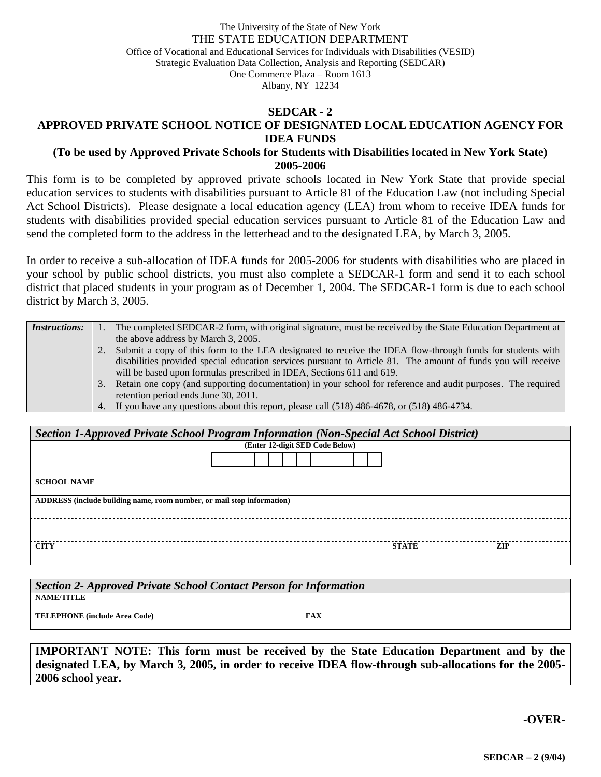#### The University of the State of New York THE STATE EDUCATION DEPARTMENT Office of Vocational and Educational Services for Individuals with Disabilities (VESID) Strategic Evaluation Data Collection, Analysis and Reporting (SEDCAR) One Commerce Plaza – Room 1613 Albany, NY 12234

#### **SEDCAR - 2**

### **APPROVED PRIVATE SCHOOL NOTICE OF DESIGNATED LOCAL EDUCATION AGENCY FOR IDEA FUNDS**

### **(To be used by Approved Private Schools for Students with Disabilities located in New York State) 2005-2006**

This form is to be completed by approved private schools located in New York State that provide special education services to students with disabilities pursuant to Article 81 of the Education Law (not including Special Act School Districts). Please designate a local education agency (LEA) from whom to receive IDEA funds for students with disabilities provided special education services pursuant to Article 81 of the Education Law and send the completed form to the address in the letterhead and to the designated LEA, by March 3, 2005.

In order to receive a sub-allocation of IDEA funds for 2005-2006 for students with disabilities who are placed in your school by public school districts, you must also complete a SEDCAR-1 form and send it to each school district that placed students in your program as of December 1, 2004. The SEDCAR-1 form is due to each school district by March 3, 2005.

| <b>Instructions:</b> |    | The completed SEDCAR-2 form, with original signature, must be received by the State Education Department at   |
|----------------------|----|---------------------------------------------------------------------------------------------------------------|
|                      |    | the above address by March 3, 2005.                                                                           |
|                      |    | Submit a copy of this form to the LEA designated to receive the IDEA flow-through funds for students with     |
|                      |    | disabilities provided special education services pursuant to Article 81. The amount of funds you will receive |
|                      |    | will be based upon formulas prescribed in IDEA, Sections 611 and 619.                                         |
|                      | 3. | Retain one copy (and supporting documentation) in your school for reference and audit purposes. The required  |
|                      |    | retention period ends June 30, 2011.                                                                          |
|                      |    | 4. If you have any questions about this report, please call (518) 486-4678, or (518) 486-4734.                |

| Section 1-Approved Private School Program Information (Non-Special Act School District) |  |              |     |  |  |  |  |
|-----------------------------------------------------------------------------------------|--|--------------|-----|--|--|--|--|
| (Enter 12-digit SED Code Below)                                                         |  |              |     |  |  |  |  |
|                                                                                         |  |              |     |  |  |  |  |
| <b>SCHOOL NAME</b>                                                                      |  |              |     |  |  |  |  |
| ADDRESS (include building name, room number, or mail stop information)                  |  |              |     |  |  |  |  |
|                                                                                         |  |              |     |  |  |  |  |
| <b>CITY</b>                                                                             |  | <b>STATE</b> | ZIP |  |  |  |  |

| Section 2- Approved Private School Contact Person for Information |            |  |  |  |  |  |
|-------------------------------------------------------------------|------------|--|--|--|--|--|
| NAME/TITLE                                                        |            |  |  |  |  |  |
| <b>TELEPHONE</b> (include Area Code)                              | <b>FAX</b> |  |  |  |  |  |

**IMPORTANT NOTE: This form must be received by the State Education Department and by the designated LEA, by March 3, 2005, in order to receive IDEA flow-through sub-allocations for the 2005- 2006 school year.** 

**-OVER-**